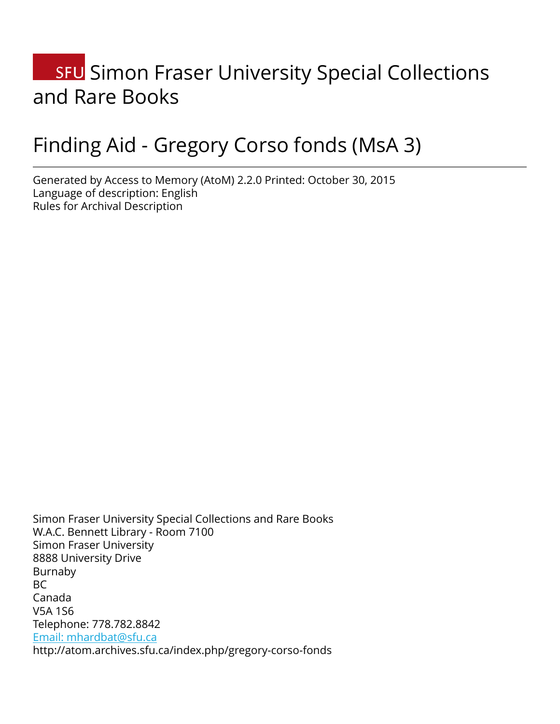# **SFU** Simon Fraser University Special Collections and Rare Books

# Finding Aid - Gregory Corso fonds (MsA 3)

Generated by Access to Memory (AtoM) 2.2.0 Printed: October 30, 2015 Language of description: English Rules for Archival Description

Simon Fraser University Special Collections and Rare Books W.A.C. Bennett Library - Room 7100 Simon Fraser University 8888 University Drive Burnaby BC Canada V5A 1S6 Telephone: 778.782.8842 [Email: mhardbat@sfu.ca](mailto:Email: mhardbat@sfu.ca) http://atom.archives.sfu.ca/index.php/gregory-corso-fonds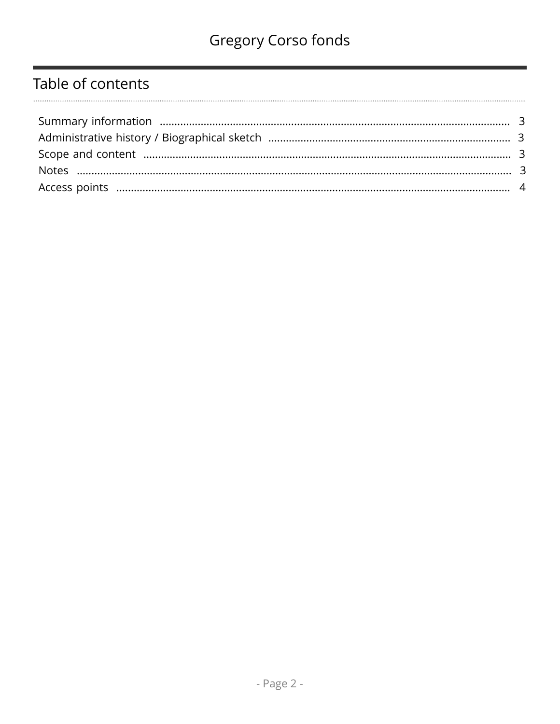# Table of contents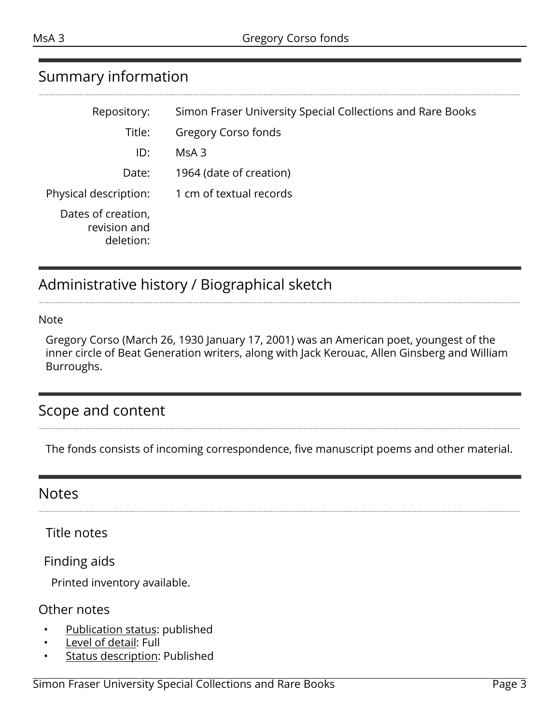### <span id="page-2-0"></span>Summary information

| Repository:                                     | Simon Fraser University Special Collections and Rare Books |
|-------------------------------------------------|------------------------------------------------------------|
| Title:                                          | Gregory Corso fonds                                        |
| ID:                                             | MsA3                                                       |
| Date:                                           | 1964 (date of creation)                                    |
| Physical description:                           | 1 cm of textual records                                    |
| Dates of creation,<br>revision and<br>deletion: |                                                            |

# <span id="page-2-1"></span>Administrative history / Biographical sketch

#### Note

Gregory Corso (March 26, 1930 January 17, 2001) was an American poet, youngest of the inner circle of Beat Generation writers, along with Jack Kerouac, Allen Ginsberg and William Burroughs.

#### <span id="page-2-2"></span>Scope and content

The fonds consists of incoming correspondence, five manuscript poems and other material.

#### <span id="page-2-3"></span>**Notes**

Title notes

Finding aids

Printed inventory available.

#### Other notes

- Publication status: published
- Level of detail: Full
- **Status description: Published**